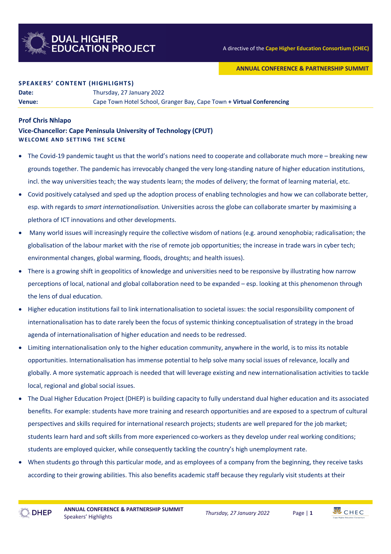

### **ANNUAL CONFERENCE & PARTNERSHIP SUMMIT**

#### **SPEAKERS' CONTENT (HIGHLIGHTS)**

**Date:** Thursday, 27 January 2022

**Venue:** Cape Town Hotel School, Granger Bay, Cape Town **+ Virtual Conferencing**

### **Prof Chris Nhlapo**

**Vice-Chancellor: Cape Peninsula University of Technology (CPUT) WELCOME AND SETTING THE SCENE**

- The Covid-19 pandemic taught us that the world's nations need to cooperate and collaborate much more breaking new grounds together. The pandemic has irrevocably changed the very long-standing nature of higher education institutions, incl. the way universities teach; the way students learn; the modes of delivery; the format of learning material, etc.
- Covid positively catalysed and sped up the adoption process of enabling technologies and how we can collaborate better, esp. with regards to *smart internationalisation.* Universities across the globe can collaborate smarter by maximising a plethora of ICT innovations and other developments.
- Many world issues will increasingly require the collective wisdom of nations (e.g. around xenophobia; radicalisation; the globalisation of the labour market with the rise of remote job opportunities; the increase in trade wars in cyber tech; environmental changes, global warming, floods, droughts; and health issues).
- There is a growing shift in geopolitics of knowledge and universities need to be responsive by illustrating how narrow perceptions of local, national and global collaboration need to be expanded – esp. looking at this phenomenon through the lens of dual education.
- Higher education institutions fail to link internationalisation to societal issues: the social responsibility component of internationalisation has to date rarely been the focus of systemic thinking conceptualisation of strategy in the broad agenda of internationalisation of higher education and needs to be redressed.
- Limiting internationalisation only to the higher education community, anywhere in the world, is to miss its notable opportunities. Internationalisation has immense potential to help solve many social issues of relevance, locally and globally. A more systematic approach is needed that will leverage existing and new internationalisation activities to tackle local, regional and global social issues.
- The Dual Higher Education Project (DHEP) is building capacity to fully understand dual higher education and its associated benefits. For example: students have more training and research opportunities and are exposed to a spectrum of cultural perspectives and skills required for international research projects; students are well prepared for the job market; students learn hard and soft skills from more experienced co-workers as they develop under real working conditions; students are employed quicker, while consequently tackling the country's high unemployment rate.
- When students go through this particular mode, and as employees of a company from the beginning, they receive tasks according to their growing abilities. This also benefits academic staff because they regularly visit students at their



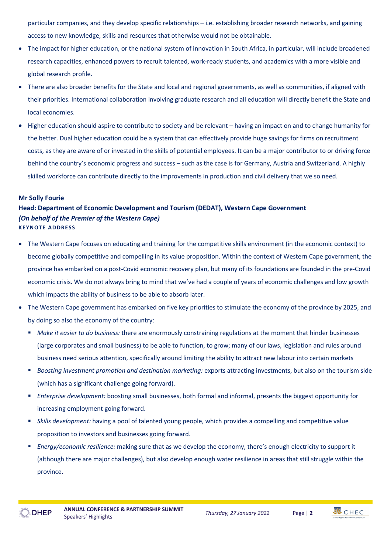particular companies, and they develop specific relationships – i.e. establishing broader research networks, and gaining access to new knowledge, skills and resources that otherwise would not be obtainable.

- The impact for higher education, or the national system of innovation in South Africa, in particular, will include broadened research capacities, enhanced powers to recruit talented, work-ready students, and academics with a more visible and global research profile.
- There are also broader benefits for the State and local and regional governments, as well as communities, if aligned with their priorities. International collaboration involving graduate research and all education will directly benefit the State and local economies.
- Higher education should aspire to contribute to society and be relevant having an impact on and to change humanity for the better. Dual higher education could be a system that can effectively provide huge savings for firms on recruitment costs, as they are aware of or invested in the skills of potential employees. It can be a major contributor to or driving force behind the country's economic progress and success – such as the case is for Germany, Austria and Switzerland. A highly skilled workforce can contribute directly to the improvements in production and civil delivery that we so need.

### **Mr Solly Fourie**

## **Head: Department of Economic Development and Tourism (DEDAT), Western Cape Government** *(On behalf of the Premier of the Western Cape)* **KEYNOTE ADDRESS**

- The Western Cape focuses on educating and training for the competitive skills environment (in the economic context) to become globally competitive and compelling in its value proposition. Within the context of Western Cape government, the province has embarked on a post-Covid economic recovery plan, but many of its foundations are founded in the pre-Covid economic crisis. We do not always bring to mind that we've had a couple of years of economic challenges and low growth which impacts the ability of business to be able to absorb later.
- The Western Cape government has embarked on five key priorities to stimulate the economy of the province by 2025, and by doing so also the economy of the country:
	- § *Make it easier to do business:* there are enormously constraining regulations at the moment that hinder businesses (large corporates and small business) to be able to function, to grow; many of our laws, legislation and rules around business need serious attention, specifically around limiting the ability to attract new labour into certain markets
	- § *Boosting investment promotion and destination marketing:* exports attracting investments, but also on the tourism side (which has a significant challenge going forward).
	- § *Enterprise development:* boosting small businesses, both formal and informal, presents the biggest opportunity for increasing employment going forward.
	- § *Skills development:* having a pool of talented young people, which provides a compelling and competitive value proposition to investors and businesses going forward.
	- § *Energy/economic resilience:* making sure that as we develop the economy, there's enough electricity to support it (although there are major challenges), but also develop enough water resilience in areas that still struggle within the province.

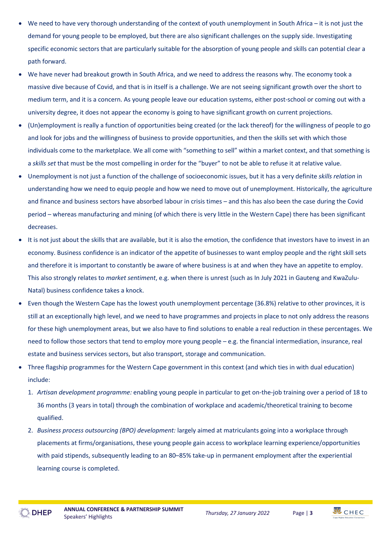- We need to have very thorough understanding of the context of youth unemployment in South Africa it is not just the demand for young people to be employed, but there are also significant challenges on the supply side. Investigating specific economic sectors that are particularly suitable for the absorption of young people and skills can potential clear a path forward.
- We have never had breakout growth in South Africa, and we need to address the reasons why. The economy took a massive dive because of Covid, and that is in itself is a challenge. We are not seeing significant growth over the short to medium term, and it is a concern. As young people leave our education systems, either post-school or coming out with a university degree, it does not appear the economy is going to have significant growth on current projections.
- (Un)employment is really a function of opportunities being created (or the lack thereof) for the willingness of people to go and look for jobs and the willingness of business to provide opportunities, and then the skills set with which those individuals come to the marketplace. We all come with "something to sell" within a market context, and that something is a *skills set* that must be the most compelling in order for the "buyer" to not be able to refuse it at relative value.
- Unemployment is not just a function of the challenge of socioeconomic issues, but it has a very definite *skills relation* in understanding how we need to equip people and how we need to move out of unemployment. Historically, the agriculture and finance and business sectors have absorbed labour in crisis times – and this has also been the case during the Covid period – whereas manufacturing and mining (of which there is very little in the Western Cape) there has been significant decreases.
- It is not just about the skills that are available, but it is also the emotion, the confidence that investors have to invest in an economy. Business confidence is an indicator of the appetite of businesses to want employ people and the right skill sets and therefore it is important to constantly be aware of where business is at and when they have an appetite to employ. This also strongly relates to *market sentiment*, e.g. when there is unrest (such as In July 2021 in Gauteng and KwaZulu-Natal) business confidence takes a knock.
- Even though the Western Cape has the lowest youth unemployment percentage (36.8%) relative to other provinces, it is still at an exceptionally high level, and we need to have programmes and projects in place to not only address the reasons for these high unemployment areas, but we also have to find solutions to enable a real reduction in these percentages. We need to follow those sectors that tend to employ more young people – e.g. the financial intermediation, insurance, real estate and business services sectors, but also transport, storage and communication.
- Three flagship programmes for the Western Cape government in this context (and which ties in with dual education) include:
	- 1. *Artisan development programme:* enabling young people in particular to get on-the-job training over a period of 18 to 36 months (3 years in total) through the combination of workplace and academic/theoretical training to become qualified.
	- 2. *Business process outsourcing (BPO) development:* largely aimed at matriculants going into a workplace through placements at firms/organisations, these young people gain access to workplace learning experience/opportunities with paid stipends, subsequently leading to an 80–85% take-up in permanent employment after the experiential learning course is completed.





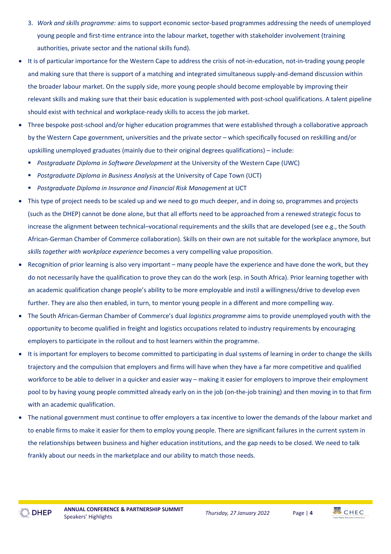- 3. *Work and skills programme:* aims to support economic sector-based programmes addressing the needs of unemployed young people and first-time entrance into the labour market, together with stakeholder involvement (training authorities, private sector and the national skills fund).
- It is of particular importance for the Western Cape to address the crisis of not-in-education, not-in-trading young people and making sure that there is support of a matching and integrated simultaneous supply-and-demand discussion within the broader labour market. On the supply side, more young people should become employable by improving their relevant skills and making sure that their basic education is supplemented with post-school qualifications. A talent pipeline should exist with technical and workplace-ready skills to access the job market.
- Three bespoke post-school and/or higher education programmes that were established through a collaborative approach by the Western Cape government, universities and the private sector – which specifically focused on reskilling and/or upskilling unemployed graduates (mainly due to their original degrees qualifications) – include:
	- *Postgraduate Diploma in Software Development* at the University of the Western Cape (UWC)
	- § *Postgraduate Diploma in Business Analysis* at the University of Cape Town (UCT)
	- *Postgraduate Diploma in Insurance and Financial Risk Management* at UCT
- This type of project needs to be scaled up and we need to go much deeper, and in doing so, programmes and projects (such as the DHEP) cannot be done alone, but that all efforts need to be approached from a renewed strategic focus to increase the alignment between technical–vocational requirements and the skills that are developed (see e.g., the South African-German Chamber of Commerce collaboration). Skills on their own are not suitable for the workplace anymore, but *skills together with workplace experience* becomes a very compelling value proposition.
- Recognition of prior learning is also very important many people have the experience and have done the work, but they do not necessarily have the qualification to prove they can do the work (esp. in South Africa). Prior learning together with an academic qualification change people's ability to be more employable and instil a willingness/drive to develop even further. They are also then enabled, in turn, to mentor young people in a different and more compelling way.
- The South African-German Chamber of Commerce's dual *logistics programme* aims to provide unemployed youth with the opportunity to become qualified in freight and logistics occupations related to industry requirements by encouraging employers to participate in the rollout and to host learners within the programme.
- It is important for employers to become committed to participating in dual systems of learning in order to change the skills trajectory and the compulsion that employers and firms will have when they have a far more competitive and qualified workforce to be able to deliver in a quicker and easier way – making it easier for employers to improve their employment pool to by having young people committed already early on in the job (on-the-job training) and then moving in to that firm with an academic qualification.
- The national government must continue to offer employers a tax incentive to lower the demands of the labour market and to enable firms to make it easier for them to employ young people. There are significant failures in the current system in the relationships between business and higher education institutions, and the gap needs to be closed. We need to talk frankly about our needs in the marketplace and our ability to match those needs.

**EDHEP** 



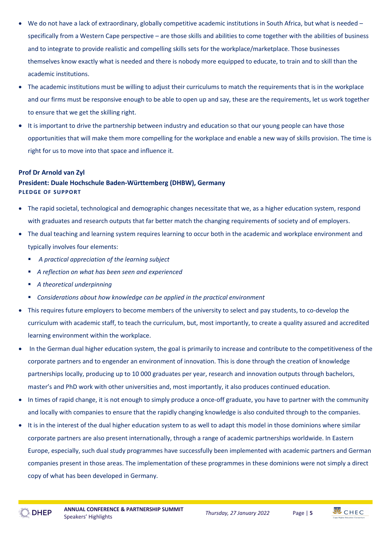- We do not have a lack of extraordinary, globally competitive academic institutions in South Africa, but what is needed specifically from a Western Cape perspective – are those skills and abilities to come together with the abilities of business and to integrate to provide realistic and compelling skills sets for the workplace/marketplace. Those businesses themselves know exactly what is needed and there is nobody more equipped to educate, to train and to skill than the academic institutions.
- The academic institutions must be willing to adjust their curriculums to match the requirements that is in the workplace and our firms must be responsive enough to be able to open up and say, these are the requirements, let us work together to ensure that we get the skilling right.
- It is important to drive the partnership between industry and education so that our young people can have those opportunities that will make them more compelling for the workplace and enable a new way of skills provision. The time is right for us to move into that space and influence it.

## **Prof Dr Arnold van Zyl**

# **President: Duale Hochschule Baden-Württemberg (DHBW), Germany PLEDGE OF SUPPORT**

- The rapid societal, technological and demographic changes necessitate that we, as a higher education system, respond with graduates and research outputs that far better match the changing requirements of society and of employers.
- The dual teaching and learning system requires learning to occur both in the academic and workplace environment and typically involves four elements:
	- § *A practical appreciation of the learning subject*
	- § *A reflection on what has been seen and experienced*
	- § *A theoretical underpinning*
	- § *Considerations about how knowledge can be applied in the practical environment*
- This requires future employers to become members of the university to select and pay students, to co-develop the curriculum with academic staff, to teach the curriculum, but, most importantly, to create a quality assured and accredited learning environment within the workplace.
- In the German dual higher education system, the goal is primarily to increase and contribute to the competitiveness of the corporate partners and to engender an environment of innovation. This is done through the creation of knowledge partnerships locally, producing up to 10 000 graduates per year, research and innovation outputs through bachelors, master's and PhD work with other universities and, most importantly, it also produces continued education.
- In times of rapid change, it is not enough to simply produce a once-off graduate, you have to partner with the community and locally with companies to ensure that the rapidly changing knowledge is also conduited through to the companies.
- It is in the interest of the dual higher education system to as well to adapt this model in those dominions where similar corporate partners are also present internationally, through a range of academic partnerships worldwide. In Eastern Europe, especially, such dual study programmes have successfully been implemented with academic partners and German companies present in those areas. The implementation of these programmes in these dominions were not simply a direct copy of what has been developed in Germany.



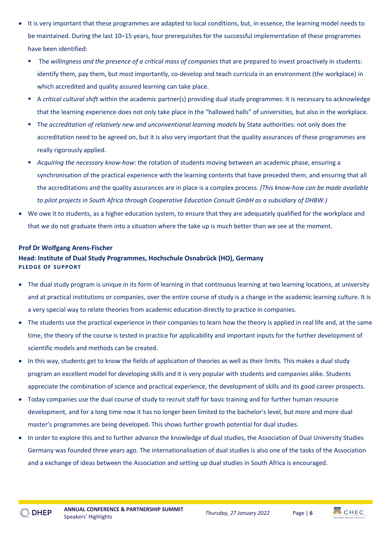- It is very important that these programmes are adapted to local conditions, but, in essence, the learning model needs to be maintained. During the last 10–15 years, four prerequisites for the successful implementation of these programmes have been identified:
	- § The *willingness and the presence of a critical mass of companies* that are prepared to invest proactively in students: identify them, pay them, but most importantly, co-develop and teach curricula in an environment (the workplace) in which accredited and quality assured learning can take place.
	- § A *critical cultural shift* within the academic partner(s) providing dual study programmes: it is necessary to acknowledge that the learning experience does not only take place in the "hallowed halls" of universities, but also in the workplace.
	- § The *accreditation of relatively new and unconventional learning models* by State authorities: not only does the accreditation need to be agreed on, but it is also very important that the quality assurances of these programmes are really rigorously applied.
	- § *Acquiring the necessary know-how*: the rotation of students moving between an academic phase, ensuring a synchronisation of the practical experience with the learning contents that have preceded them, and ensuring that all the accreditations and the quality assurances are in place is a complex process. *(This know-how can be made available to pilot projects in South Africa through Cooperative Education Consult GmbH as a subsidiary of DHBW.)*
- We owe it to students, as a higher education system, to ensure that they are adequately qualified for the workplace and that we do not graduate them into a situation where the take up is much better than we see at the moment.

## **Prof Dr Wolfgang Arens-Fischer**

# **Head: Institute of Dual Study Programmes, Hochschule Osnabrück (HO), Germany PLEDGE OF SUPPORT**

- The dual study program is unique in its form of learning in that continuous learning at two learning locations, at university and at practical institutions or companies, over the entire course of study is a change in the academic learning culture. It is a very special way to relate theories from academic education directly to practice in companies.
- The students use the practical experience in their companies to learn how the theory is applied in real life and, at the same time, the theory of the course is tested in practice for applicability and important inputs for the further development of scientific models and methods can be created.
- In this way, students get to know the fields of application of theories as well as their limits. This makes a dual study program an excellent model for developing skills and it is very popular with students and companies alike. Students appreciate the combination of science and practical experience, the development of skills and its good career prospects.
- Today companies use the dual course of study to recruit staff for basic training and for further human resource development, and for a long time now it has no longer been limited to the bachelor's level, but more and more dual master's programmes are being developed. This shows further growth potential for dual studies.
- In order to explore this and to further advance the knowledge of dual studies, the Association of Dual University Studies Germany was founded three years ago. The internationalisation of dual studies is also one of the tasks of the Association and a exchange of ideas between the Association and setting up dual studies in South Africa is encouraged.